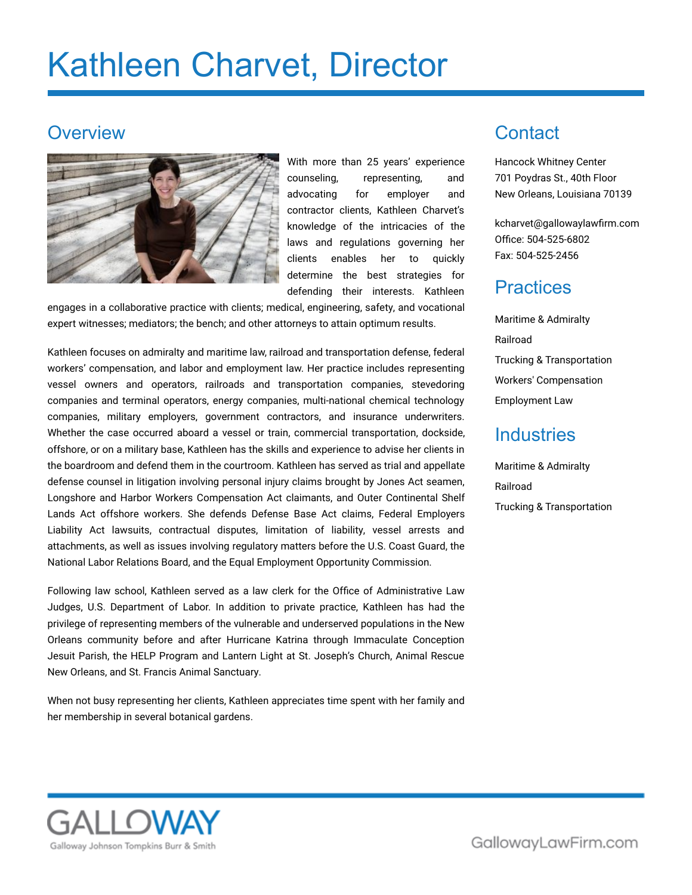# Kathleen Charvet, Director

### **Overview**



With more than 25 years' experience counseling, representing, and advocating for employer and contractor clients, Kathleen Charvet's knowledge of the intricacies of the laws and regulations governing her clients enables her to quickly determine the best strategies for defending their interests. Kathleen

engages in a collaborative practice with clients; medical, engineering, safety, and vocational expert witnesses; mediators; the bench; and other attorneys to attain optimum results.

Kathleen focuses on admiralty and maritime law, railroad and transportation defense, federal workers' compensation, and labor and employment law. Her practice includes representing vessel owners and operators, railroads and transportation companies, stevedoring companies and terminal operators, energy companies, multi-national chemical technology companies, military employers, government contractors, and insurance underwriters. Whether the case occurred aboard a vessel or train, commercial transportation, dockside, offshore, or on a military base, Kathleen has the skills and experience to advise her clients in the boardroom and defend them in the courtroom. Kathleen has served as trial and appellate defense counsel in litigation involving personal injury claims brought by Jones Act seamen, Longshore and Harbor Workers Compensation Act claimants, and Outer Continental Shelf Lands Act offshore workers. She defends Defense Base Act claims, Federal Employers Liability Act lawsuits, contractual disputes, limitation of liability, vessel arrests and attachments, as well as issues involving regulatory matters before the U.S. Coast Guard, the National Labor Relations Board, and the Equal Employment Opportunity Commission.

Following law school, Kathleen served as a law clerk for the Office of Administrative Law Judges, U.S. Department of Labor. In addition to private practice, Kathleen has had the privilege of representing members of the vulnerable and underserved populations in the New Orleans community before and after Hurricane Katrina through Immaculate Conception Jesuit Parish, the HELP Program and Lantern Light at St. Joseph's Church, Animal Rescue New Orleans, and St. Francis Animal Sanctuary.

When not busy representing her clients, Kathleen appreciates time spent with her family and her membership in several botanical gardens.

# **Contact**

Hancock Whitney Center 701 Poydras St., 40th Floor New Orleans, Louisiana 70139

[kcharvet@gallowaylawfirm.com](mailto:kcharvet@gallowaylawfirm.com) Office: 504-525-6802 Fax: 504-525-2456

### **Practices**

Maritime & Admiralty Railroad Trucking & Transportation Workers' Compensation Employment Law

### **Industries**

Maritime & Admiralty Railroad Trucking & Transportation

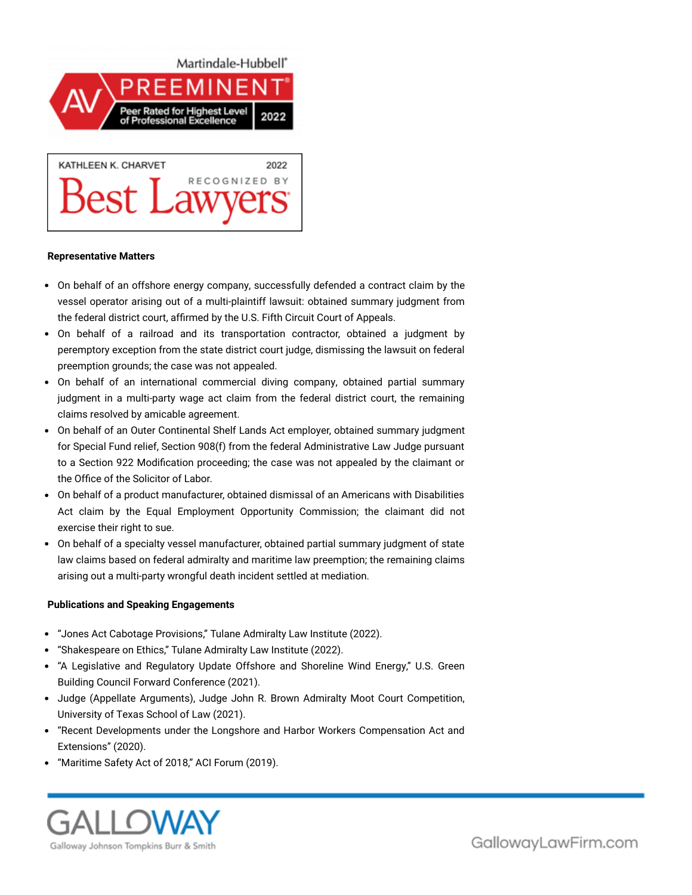



#### **Representative Matters**

- On behalf of an offshore energy company, successfully defended a contract claim by the vessel operator arising out of a multi-plaintiff lawsuit: obtained summary judgment from the federal district court, affirmed by the U.S. Fifth Circuit Court of Appeals.
- On behalf of a railroad and its transportation contractor, obtained a judgment by peremptory exception from the state district court judge, dismissing the lawsuit on federal preemption grounds; the case was not appealed.
- On behalf of an international commercial diving company, obtained partial summary judgment in a multi-party wage act claim from the federal district court, the remaining claims resolved by amicable agreement.
- On behalf of an Outer Continental Shelf Lands Act employer, obtained summary judgment for Special Fund relief, Section 908(f) from the federal Administrative Law Judge pursuant to a Section 922 Modification proceeding; the case was not appealed by the claimant or the Office of the Solicitor of Labor.
- On behalf of a product manufacturer, obtained dismissal of an Americans with Disabilities Act claim by the Equal Employment Opportunity Commission; the claimant did not exercise their right to sue.
- On behalf of a specialty vessel manufacturer, obtained partial summary judgment of state law claims based on federal admiralty and maritime law preemption; the remaining claims arising out a multi-party wrongful death incident settled at mediation.

#### **Publications and Speaking Engagements**

- "Jones Act Cabotage Provisions," Tulane Admiralty Law Institute (2022).
- "Shakespeare on Ethics," Tulane Admiralty Law Institute (2022).
- "A Legislative and Regulatory Update Offshore and Shoreline Wind Energy," U.S. Green Building Council Forward Conference (2021).
- Judge (Appellate Arguments), Judge John R. Brown Admiralty Moot Court Competition, University of Texas School of Law (2021).
- "Recent Developments under the Longshore and Harbor Workers Compensation Act and Extensions" (2020).
- "Maritime Safety Act of 2018," ACI Forum (2019).

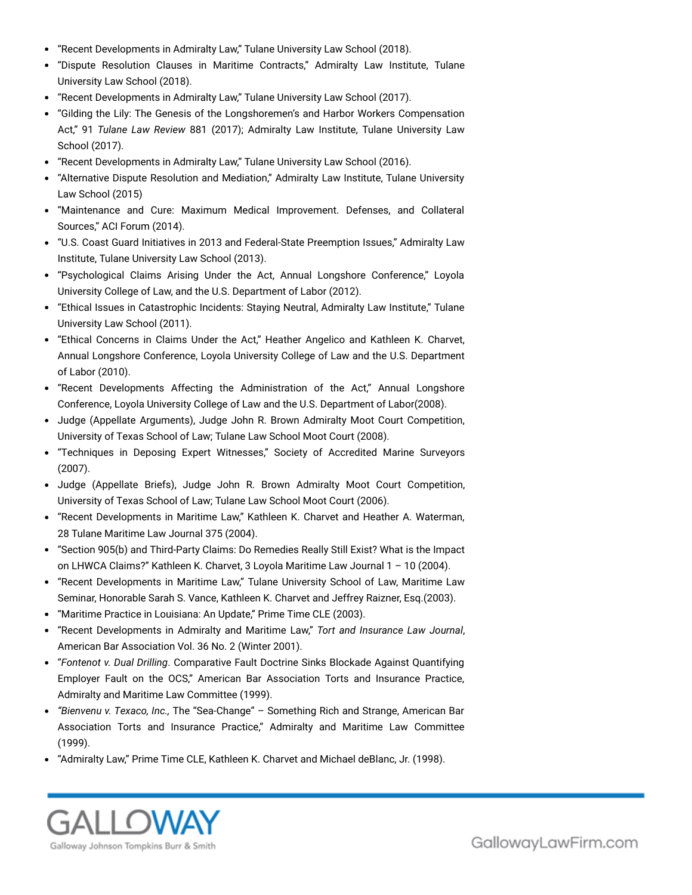- "Recent Developments in Admiralty Law," Tulane University Law School (2018).
- "Dispute Resolution Clauses in Maritime Contracts," Admiralty Law Institute, Tulane University Law School (2018).
- "Recent Developments in Admiralty Law," Tulane University Law School (2017).
- "Gilding the Lily: The Genesis of the Longshoremen's and Harbor Workers Compensation Act," 91 *Tulane Law Review* 881 (2017); Admiralty Law Institute, Tulane University Law School (2017).
- "Recent Developments in Admiralty Law," Tulane University Law School (2016).
- "Alternative Dispute Resolution and Mediation," Admiralty Law Institute, Tulane University Law School (2015)
- "Maintenance and Cure: Maximum Medical Improvement. Defenses, and Collateral Sources," ACI Forum (2014).
- "U.S. Coast Guard Initiatives in 2013 and Federal-State Preemption Issues," Admiralty Law Institute, Tulane University Law School (2013).
- "Psychological Claims Arising Under the Act, Annual Longshore Conference," Loyola University College of Law, and the U.S. Department of Labor (2012).
- "Ethical Issues in Catastrophic Incidents: Staying Neutral, Admiralty Law Institute," Tulane University Law School (2011).
- "Ethical Concerns in Claims Under the Act," Heather Angelico and Kathleen K. Charvet, Annual Longshore Conference, Loyola University College of Law and the U.S. Department of Labor (2010).
- "Recent Developments Affecting the Administration of the Act," Annual Longshore Conference, Loyola University College of Law and the U.S. Department of Labor(2008).
- Judge (Appellate Arguments), Judge John R. Brown Admiralty Moot Court Competition, University of Texas School of Law; Tulane Law School Moot Court (2008).
- "Techniques in Deposing Expert Witnesses," Society of Accredited Marine Surveyors (2007).
- Judge (Appellate Briefs), Judge John R. Brown Admiralty Moot Court Competition, University of Texas School of Law; Tulane Law School Moot Court (2006).
- "Recent Developments in Maritime Law," Kathleen K. Charvet and Heather A. Waterman, 28 Tulane Maritime Law Journal 375 (2004).
- "Section 905(b) and Third-Party Claims: Do Remedies Really Still Exist? What is the Impact on LHWCA Claims?" Kathleen K. Charvet, 3 Loyola Maritime Law Journal 1 – 10 (2004).
- "Recent Developments in Maritime Law," Tulane University School of Law, Maritime Law Seminar, Honorable Sarah S. Vance, Kathleen K. Charvet and Jeffrey Raizner, Esq.(2003).
- "Maritime Practice in Louisiana: An Update," Prime Time CLE (2003).
- "Recent Developments in Admiralty and Maritime Law," *Tort and Insurance Law Journal*, American Bar Association Vol. 36 No. 2 (Winter 2001).
- "*Fontenot v. Dual Drilling*. Comparative Fault Doctrine Sinks Blockade Against Quantifying Employer Fault on the OCS," American Bar Association Torts and Insurance Practice, Admiralty and Maritime Law Committee (1999).
- *"Bienvenu v. Texaco, Inc.,* The "Sea-Change" Something Rich and Strange, American Bar Association Torts and Insurance Practice," Admiralty and Maritime Law Committee (1999).
- "Admiralty Law," Prime Time CLE, Kathleen K. Charvet and Michael deBlanc, Jr. (1998).

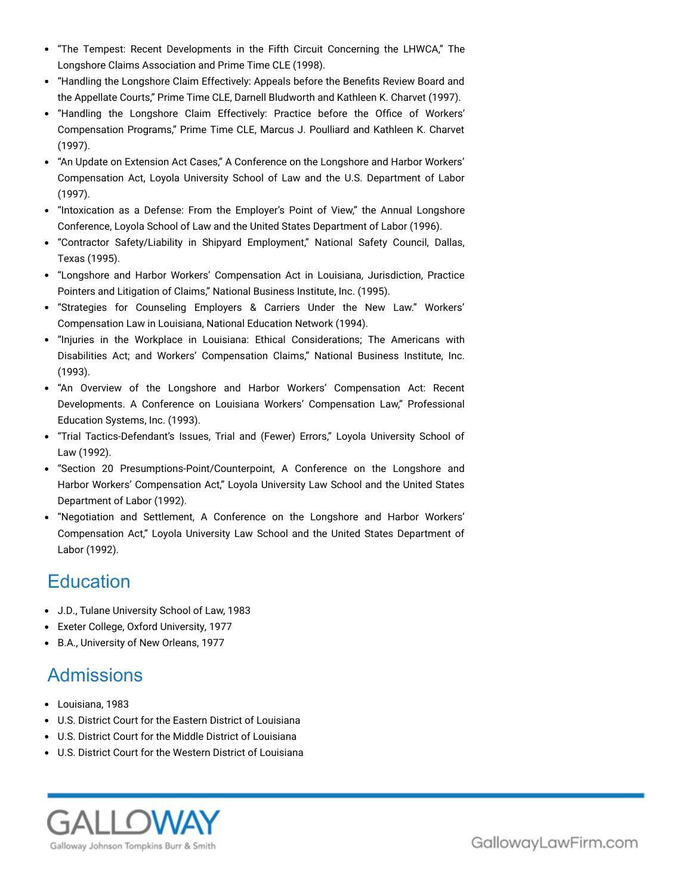- "The Tempest: Recent Developments in the Fifth Circuit Concerning the LHWCA," The Longshore Claims Association and Prime Time CLE (1998).
- "Handling the Longshore Claim Effectively: Appeals before the Benefits Review Board and the Appellate Courts," Prime Time CLE, Darnell Bludworth and Kathleen K. Charvet (1997).
- "Handling the Longshore Claim Effectively: Practice before the Office of Workers' Compensation Programs," Prime Time CLE, Marcus J. Poulliard and Kathleen K. Charvet (1997).
- "An Update on Extension Act Cases," A Conference on the Longshore and Harbor Workers' Compensation Act, Loyola University School of Law and the U.S. Department of Labor (1997).
- "Intoxication as a Defense: From the Employer's Point of View," the Annual Longshore Conference, Loyola School of Law and the United States Department of Labor (1996).
- "Contractor Safety/Liability in Shipyard Employment," National Safety Council, Dallas, Texas (1995).
- "Longshore and Harbor Workers' Compensation Act in Louisiana, Jurisdiction, Practice Pointers and Litigation of Claims," National Business Institute, Inc. (1995).
- "Strategies for Counseling Employers & Carriers Under the New Law." Workers' Compensation Law in Louisiana, National Education Network (1994).
- "Injuries in the Workplace in Louisiana: Ethical Considerations; The Americans with Disabilities Act; and Workers' Compensation Claims," National Business Institute, Inc. (1993).
- "An Overview of the Longshore and Harbor Workers' Compensation Act: Recent Developments. A Conference on Louisiana Workers' Compensation Law," Professional Education Systems, Inc. (1993).
- "Trial Tactics-Defendant's Issues, Trial and (Fewer) Errors," Loyola University School of Law (1992).
- "Section 20 Presumptions-Point/Counterpoint, A Conference on the Longshore and Harbor Workers' Compensation Act," Loyola University Law School and the United States Department of Labor (1992).
- "Negotiation and Settlement, A Conference on the Longshore and Harbor Workers' Compensation Act," Loyola University Law School and the United States Department of Labor (1992).

## **Education**

- J.D., Tulane University School of Law, 1983
- Exeter College, Oxford University, 1977
- B.A., University of New Orleans, 1977

# Admissions

- Louisiana, 1983
- U.S. District Court for the Eastern District of Louisiana
- U.S. District Court for the Middle District of Louisiana
- U.S. District Court for the Western District of Louisiana